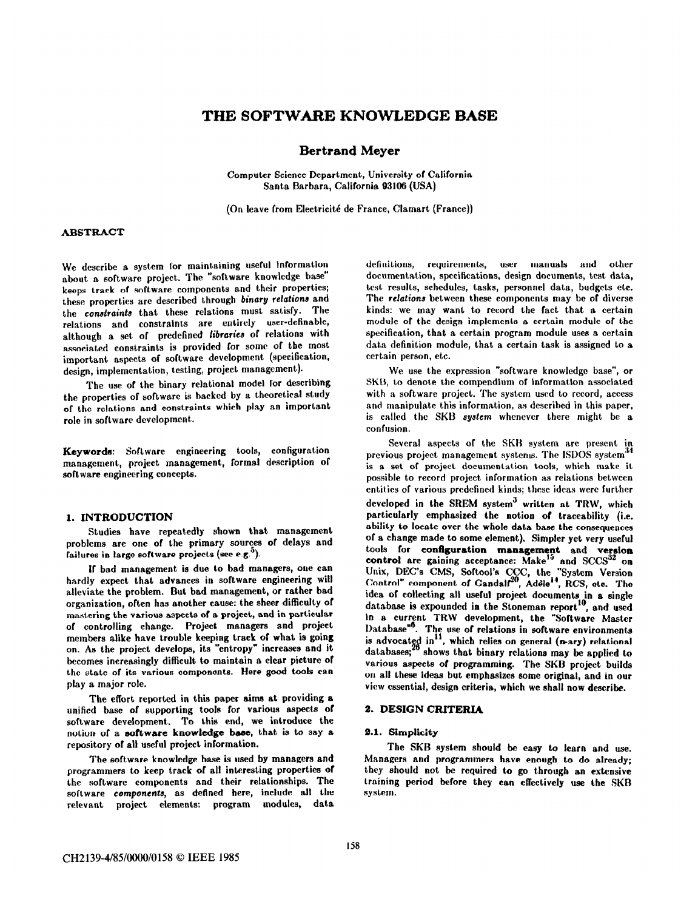# THE SOFTWARE KNOWLEDGE BASE

# Bertrand Meyer

Computer Science Department, University of California Santa Barbara, California 93106 (USA)

(On leave from Electricité de France, Clamart (France))

# **ABSTRACT**

We describe a system for maintaining useful information about a software project. The "software knowledge base" keeps track of software components and their properties; these properties are described through binary relations and the constraints that these relations must satisfy. The relations and constraints are entirely user-definable, although a set of predefined libraries of relations with associated constraints is provided for some of the most important aspects of software development (specification, design, implementation, testing, project management).

The use of the binary relational model for describing the properties of software is hacked by a theoretical study of the relations and constraints which play an important role in software development,.

Keywords: Software engineering tools, configuration management, project management, formal description of software engineering concepts.

# 1. INTRODUCTION

Studies have repeatedly shown that management problems are one of the primary sources of delays and failures in large software projects (see e.g.<sup>3</sup>).

If bad management is due to bad managers, one can hardly expect that advances in software engineering will alleviate the problem. But bad management, or rather bad organization, often has another cause: the sheer difficulty of mastering the various aspects of a project, and in particular of controlling change. Project managers and project members alike have trouble keeping track 01 what is going on. As the project develops, its "entropy" increases and it becomes increasingly difficult to maintain a clear picture of the state of its various components. Here good tools can play a major role.

The effort reported in this paper aims at providing a unified base of supporting tools for various aspects of software development. To this end, we introduce the notion of a software knowledge base, that is to say a repository of all useful project information.

The software knowledge base is used by managers and programmers to keep track of all interesting properties of the software components and their relationships. The software components, as defined here, include all the relevant project elements: program modules, data

definitions, requirements, user manuals and other documentation, specifications, design documents, test data, test results, schedules, tasks, personnel data, budgets etc. The relations between these components may be of diverse kinds: we may want to record the fact that a certain module of the design implements a certain module of the specification, that a certain program module uses a certain data definition module, that, a certain task is assigned to a certain person, etc.

We use the expression "software knowledge base", or SKB, to denote the compendium of information associated with a software project. The system used to record, access and manipulate this information, as described in this paper, is called the SKB system whenever there might be a confusion.

Several aspects of the SKH system are present in previous project management systems. The ISDOS system" is a set of project documentation tools, which make it possible to record project information as relations between entities of various prcdefined kinds; these ideas were further developed in the SREM system<sup>3</sup> written at TRW, which particularly emphasized the notion of traceability (i.e. ability to locate over the whole data base the consequences of a change made to some element). Simpler yet very useful tools for configuration management and veraion control are gaining acceptance:  $Make^{15}$  and  $SCCS^{32}$  on Unix, DEC's CMS, Softool's CCC, the "System Version Control" component of Gandal?', Addle'", RCS, etc. The idea of collecting all uselul project documents in a single database is expounded in the Stoneman report", and used in a current TRW development, the "Software Master Database"". The use of relations in software environments is advocated in", which relies on general (n-ary) relationa databases;<sup>26</sup> shows that binary relations may be applied to various aspects of programming. The SKB project builds on all these ideas but emphasizes some original, and in our view essential, design criteria, which we shall now describe.

# 2. DESIGN CRITERIA

# 2.1. Simplicity

The SKB system should be easy to learn and use. Managers and programmers have enough to do already; they should not be required to go through an extensive training period before they can effectively use the SK9 system.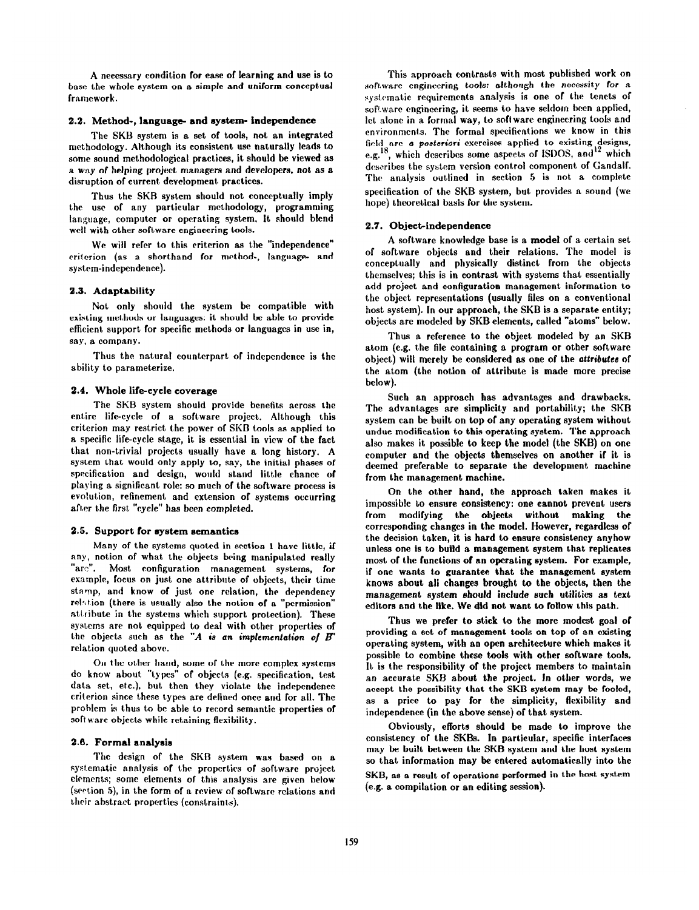A necessary condition for ease of learning and use is to base the whole system on a simple and uniform conceptual framework.

### 2.2. Method-, language- and system- independence

The SKB system is a set of tools, not an integrated methodology. Although its consistent use naturally leads to some sound methodological practices, it should be viewed as a way of helping project managers and developers, not as a disruption of current development practices.

Thus the SKB system should not conceptually imply the use of any particular methodology, programming language, computer or operating system. It should blend well with other software engineering tools.

We will refer to this criterion as the "independence" criterion (as a shorthand for method-, language- and system-independence).

### 2.3. Adaptability

Not only should the syslem be compatible with existing methods or languages: it should bc able to provide efficient support for specific methods or languages in use in, say, a company.

Thus the natural counterpart of independence is the ability to parameterize.

#### 2.4. Whole life-cycle coverage

The SKB system should provide benefits across the entire life-cycle of a software project. Although this criterion may restrict the power of SKB tools as applied to a specific life-cycle stage, it is essential in view of the fact that non-trivial projects usually have a long history. A system that would only apply to, say, the initial phases of specification and design, would stand little chance of playing a significant role: so much of the software process is evolution, refinement and extension of systems occurring after the first "cycle" has been completed.

#### 2.5. Support for system semantics

Many of the systems quoted in section I have little, if any, notion of what the objects being manipulated really "arc". Most configuration msnagemcnt systems, for example, focus on just one attribute of objects, their time stamp, and know of just one relation, the dependency relation (there is usually also the notion of a "permission" attribute in the systems which support protection). These syslerna are not equipped to deal with other properties of the objects such as the "A is an implementation of  $B$ " relation quoted above.

On the other hand, some of the more complex systems do know about. "types" of objects (e.g. specification, test data set, etc.), but then they violate the independence criterion since these types are defined once and for all. The prohlem is thus to be able to record semantic properties of software objects while retaining flexibility.

#### 2.6. Formal analysis

The design of the SKB system was based on a systematic analysis of the properties of software project elements; some elements of this analysis are given below (section 5), in the form of a review of software relations and their abstract properties (constraints),

This approach contrasts with most published work on software engineering tools: although the necessity for a systematic requirements analysis is one of the tenets of software engineering, it seems to have seldom been applied, let alone in a formal way, to software engineering tools and environments. The formal specifications we know in this field are a *posteriori* exercises applied to existing designs e.g.<sup>15</sup>, which describes some aspects of ISDOS, and<sup>12</sup> which describes the system version control component of Gandalf. The analysis outlined in section 5 is not a complete specification of the SKB system, but provides a sound (we hope) theoretical basis for the system.

### 2.7. Object-independence

A software knowledge base is a model of a certain set of software objects and their relations. The model is conceptually and physically distinct from the objects themselves; this is in contrast with systems that essentially add project and configuration management information to the object representations (usually files on a conventional host system). In our approach, the SKB is a separate entity; objects are modeled by SKB elements, called "atoms" below.

Thus a reference to the object modeled by an SKB atom (e.g. the file containing a program or other software object) will merely be considered as one of the attributes of the atom (the notion of attribute is made more precise below).

Such an approach has advantages and drawbacks. The advantages are simplicity and portability; the SKB system can be built on top of any operating system without undue modification to this operating system. The approach also makes it possible to keep the model (the SKB) on one computer and the objects themselves on another if it is deemed preferable to separate the development machine from the management machine.

On the other hand, the approach taken makes it impossible to ensure consistency: one cannot prevent users from modifying the objects without making the corresponding changes in the model. However, regardless of the decision taken, it is hard to ensure consistency anyhow unless one is to build a management system that replicates most of the functions of an operating system. For example, if one wants to guarantee that the management system knows about all changes brought to the objects, then the management system should include such utilities as text editors and the like. We did not want to follow this path.

Thus we prefer to stick to the more modest goal of providing a set of management tools on top of an existing operating system, with an open architecture which makes it possible to combine these tools with other software tools. It is the responsibility of the project members to maintain an accurate SKB about the project. ln otber words, we accept the possibility that the SKB system may be fooled, as a price to pay for the simplicity, flexibility and independence (in the above sense) of that system.

Obviously, efforts should be made to improve the consistency of the SKBs. In particular, specific interfaces may be built between the SKB system and the host system so that information may be entered automatically into the SKB, as a result of operations performed in the host system (e.g. a compilation or an editing session).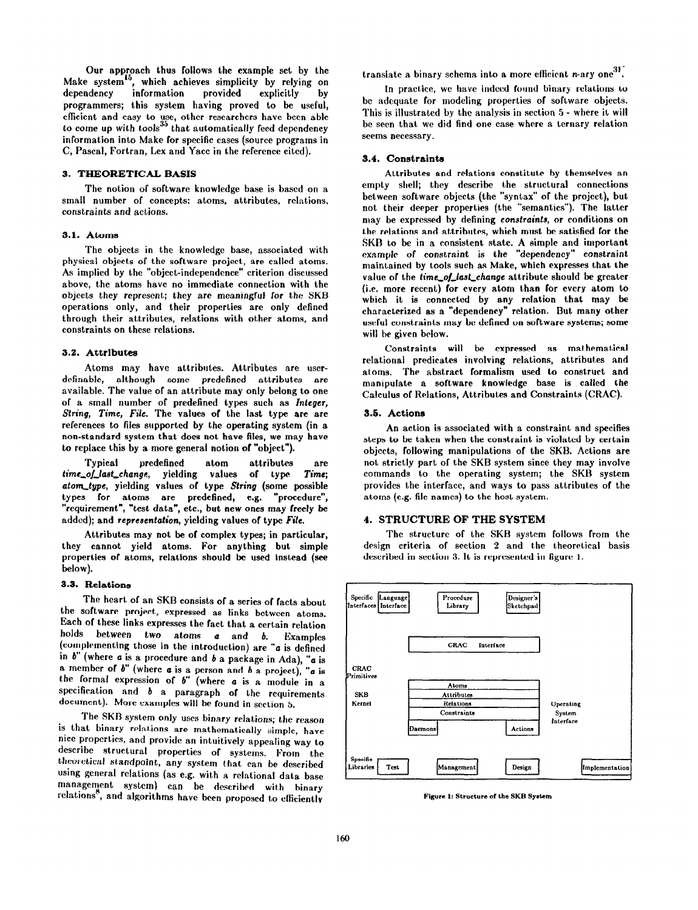Our approach thus follows the example set by the Make system<sup>15</sup>, which achieves simplicity by relying on dependency information provided explicitly by information provided explicitly by programmers; this system having proved to be useful, eIIicient and easy to use, other researchers have been able to come up with tools" that automatically feed dependency information into Make for specific cases (source programs in C, Pascal, Fortran, Lex and Yacc in the reference cited).

### 3. THEORETICAL BASIS

The notion of software knowledge base is based on a small number of concepts: atoms, attributes, relations, constraints and actions.

### 3.1. Atoms

The objects in the knowledge base, associated with physical objects of the software project, are called atoms. As implied by the "object-independence" criterion discussed above, the atoms have no immediate connection with the objects they represent; they are meaningful for the SKB operations only, and their properties are only defined through their attributes, relations with other atoms, and constraints on these relations.

#### 3.2. Attributes

Atoms may have attributes. Attributes are userdefinable, although some predefined attributes are available. The value of an attribute may only belong to one of a small number of predefined types such as Integer, String, Time, File. The values of the last type are are references to files supported by the operating system (in a non-standard system that does not have files, we may have to replace this by a more general notion of "object").

Typical predefined atom attributes are<br>
of last\_change, yielding values of type Time; time\_of\_last\_change, yielding values atom-type, yielding values of type String (some possible types for atoms are predefined, e.g. "procedure", "requirement", "test data", etc., but new ones may freely be added); and representation, yielding values of type Fife.

Attributes may not be of complex types; in particular, they cannot yield atoms. For anything but simple properties of atoms, relations should be used instead (see below).

### 3.3. Relations

The heart of an SKB consists of a series of facts about the software project, expressed as links between atoms. Each of these links expresses the fact that a certain relation holds between two atoms  $a$  and  $b$ . Examples (complementing those in the introduction) are " $a$  is defined in  $b$ " (where  $a$  is a procedure and  $b$  a package in Ada), " $a$  is a member of  $b$ " (where  $a$  is a person and  $b$  a project), " $a$  is the formal expression of  $b''$  (where  $a$  is a module in a specification and  $b$  a paragraph of the requirements document). More examples will be found in section 5.

The SKB system only uses binary relations; the reason is that binary relations are mathematically simple, have nice propcrtics, and provide an intuitively appealing way to describe structural properties of systems. From the theoretical standpoint, any system that can be described using general relations (as e.g. with a relational data base management system) can be described with binary relations", and algorithms have been proposed to efficiently

translate a binary schema into a more efficient n-ary one<sup>31</sup>.

In practice, we have indeed found binary relations to be adequate for modeling properties of software objects. This is illustrated by the analysis in section 5 - where it will be seen that we did find one case where a ternary relation seems necessary.

### 3.4. Constraints

Attributes and relations constitute by themselves an empty shell; they describe the structural connections between software objects (the "syntax" of the project), but not their deeper properties (the "semantics"). The latter may be expressed by defining constraints, or conditions on the relations and attributes, which must be satisfied for the SKB to be in a consistent state. A simple and important example of constraint is the "dependency" constraint maintained by toots such as Make, which expresses that the value of the time\_of\_last\_change attribute should be greater (i.e. more recent) for every atom than for every atom to which it is connected by any relation that may be characterized as a "dependency" relation. But many other useful constraints may be defined on software systems; some will be given below.

Constraints will be expressed as mathematical relational predicates involving relations, attributes and atoms. The abstract formalism used to construct and manipulate a software knowledge base is called the Calculus of Relations, Attributes and Constraints (CRAC).

#### 3.5. Actions

An action is associated with a constraint and specifies steps to be taken when the constraint is violated by certain objects, following manipulations of the SKB. Actions are not strictly part of the SKB system since they may involve commands to the operating system; the SKB system provides the interface, and ways to pass attributes of the atoms (e.g. file names) to the host system.

# 4. STRUCTURE OF THE SYSTEM

The structure of the SKR system follows from the design criteria of section 2 and the theoretical basis described in section 3. It is represented in figure 1.



Figure 1: Structure of the SKB System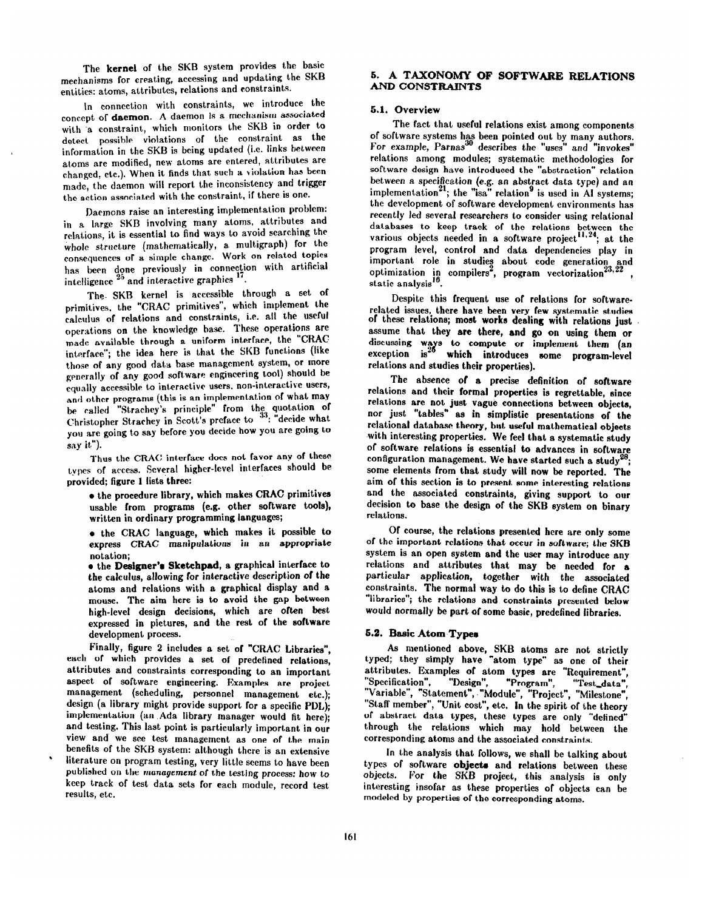The kernel of the SKB system provides the basic mechanisms for creating, accessing and updating the SKB entities: atoms, attributes, relations and constraints.

In connection with constraints, we introduce the concept of daemon. A daemon is a mechanism associated with a constraint, which monitors the SKB in order to detect possible violations of the constraint as the information in the SKB is being updated (i.e. links between atoms are modified, new atoms are entered, attributes are changed, etc.). When it finds that such a violation has been made, the daemon will report the inconsistency and trigger the action associated with the constraint, if there is one.

Daemons raise an interesting implementation problem: in a large SKB involving many atoms, attributes and relations, it is essential to find ways to avoid searching the whole structure (mathematically, a. multigraph) for the consequences or a simple change. Work on related topics has been done previously in connection with artificial intelligence  $25$  and interactive graphics

The. SKB kernel is accessible through a set of primitives. the "CRAC primitives", which implement the calculus of relations and constraints, i.e. all the useful operations on the knowledge base. These operations are made available through a uniform interface, the "CXAC interface"; the idea here is that the SKB functions (like those of any good data base management system, or more generally of any good software engineering tool) should be equally accessible to interactive users. non-interactive users, and other programs (this is an implementation of what may be called "Strachey's principle" from the quotation of Christopher Strachey in Scott's preface to "": "decide what you are going to say hefore you decide how YOU are going to say it").

Thus the CRAC interface does not favor any of these types of access. Several higher-level interfaces should be provided; figure 1 lists three:

8 the procedure library, which makes CRAC primitives usable from programs (e.g. other software tools), written in ordinary programming languages;

 $\bullet$  the CRAC language, which makes it possible to express CRAC manipulations in an sppropriste notation;

**e** the Designer's Sketchpad, a graphical interface to the calculus, allowing for intersctive description of the atoms and relations with a graphical display and a mouse, The aim here is to avoid the gap between high-level design decisions, which are often best expressed in pictures, and the rest of the software development process.

Finally, figure 2 includes a set of "CRAC Libraries", each of which provides a set of predefined relations, attributes and constraints corresponding to an important aspect of software engineering. Examples are project management (scheduling, personnel management etc.); design (a library might provide support for a specific PDL); implementation (an .Ada library manager would fit here); and testing. This last point is particularly important in our view and we see test management as one of the main benefits of the SKB system: although there is an extensive literature on program testing, very little seems to have been published on the management of the testing process: how to keep track of test data sets for each module, record test results, etc.

### 6. A TAXONOMY OF SOFTWARE RELATIONS AND CONSTRAINTS

### 6.1. Overview

The fact that useful relations exist among components of software systems has been pointed out by many authors. For example, Parnas<sup>30</sup> describes the "uses" and "invokes" relations among modules; systematic methodologies for software design have introduced the "abstraction" relation between a specification (e.g. an abstract data type) and an implementation<sup>21</sup>; the "isa" relation<sup>9</sup> is used in AI systems; the development of software development environments has recently led several researchers to consider using relational databases to keep track of the relations between the various objects needed in a software project<sup>11,24</sup>; at the program level, control and data dependencies play in important role in studies about code generation and optimization in compilers<sup>2</sup>, program vectorization  $^{23,22}$  , static analysis".

Despite this frequent use of relations for softwarerelated issues, there have been very few systematic studies of these relations; moat works dealing with relations just assume that they are there, and go on using them or discussing ways  $exception$  is<sup>20</sup> to compute or implement them (an which introduces some program-leve relations and studies their properties).

The absence of a precise definition of software relations and their formal properties is regrettable, since relations are not just vague connections between objects, nor just "tables" as in simplistic presentations of the relational database theory, but useful mathematical objects with interesting properties. We feel that a systematic study of software relations is essential to advances in software configuration management. We have started such a study some elements from thst study will now be reported. The aim of this section is to present some interesting relations and the associated constraints, giving support to our decision to base the design of the SKB system on binary relations.

Of course, the relations presented here are only some of the important relations that occur in software; the SKB system is an open system and the user may introduce any relations and attributes that may be needed for a particular application, together with the associated constraints. The normal way to do this is to define CRAC "libraries"; the relations and constraints presented below would normally be part of some basic, predefined libraries.

### 5.2. Basic Atom Types

As mentioned above, SKB atoms are not strictly typed; they simply have "atom type" as one of their attributes. Examples of atom types are "Requirement", "Specification", "Design", "Variable", "Statement", "Module", "Project", "Milestone" "Program", "Test-data", "Staff member", "Unit cost", etc. In the spirit of the theory of abstract data types, these types are only "defined" through the relations which may hold between the corresponding atoms and the associated constraints.

In the analysis that follows, we shall be talking about types of software objects and relations between these objects. For the SKB project, this analysis is only interesting insofar as these properties of objects can be modeled by properties of the corresponding atoms.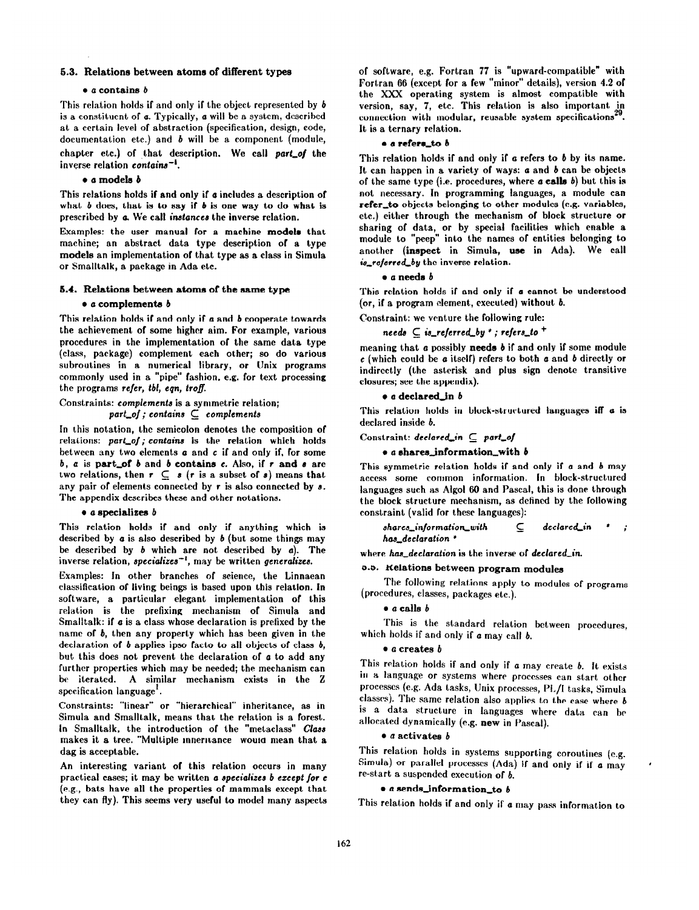### 6.3. Relatione between atoms of different typee

#### $\bullet$  a contains  $\boldsymbol{b}$

This relation holds if and only if the object represented by b is a constituent of a. Typically, a will be a system, described at a certain level of abstraction (specification, design, code, documentation etc.) and *b* will be a component (module, chapter etc.) of that description. We call part\_of the inverse relation contains-'.

# $\bullet$  a models  $b$

This relations holds if and only if a includes a description of what  $b$  does, that is to say if  $b$  is one way to do what is prescribed by a We call instances the inverse relation.

Examples: the user manual for a machine models that machine; an abstract data type description of a type models an implementation of that type as a class in Simula or Smalltalk, a package in Ada etc.

## 6.4. Relations between atoms of the same type

#### $\bullet$  a complements  $\delta$

This relation holds if and only if a and b cooperate towards the achievement of some higher aim. For example, various procedures in the implementation of the same data type (class, package) complement each other; so do various subroutines in a numerical library, or Unix programs commonly used in a "pipe" fashion, e.g. for text processing the programs refer, tbl, eqn, troff.

Constraints: complements is a symmetric relation; part\_of; contains  $\subseteq$  complement

In this notation, the semicolon denotes the composition of relations: part\_of; contains is the relation which holds between any two elements a and c if and only if, for some  $b, a$  is part\_of  $b$  and  $b$  contains  $c.$  Also, if  $r$  and  $s$  are two relations, then  $r \subseteq s$  (r is a subset of s) means that any pair of elements connected by r is also connected by  $s$ . The appendix describes these and other notations.

#### $\bullet$  a specializes  $b$

This relation holds if and only if anything which is described by  $a$  is also described by  $b$  (but some things may be described by  $b$  which are not described by  $a$ ). The inverse relation, specializes-', may be written generalizes.

Examples: In other branches of science, the Linnaean classification of living beings is based upon this relation. In software, a particular elegant implementation of this relation is the prefixing mechanism of Simula and Smalltalk: if  $\boldsymbol{a}$  is a class whose declaration is prefixed by the name of b, then any property which has been given in the declaration of  $b$  applies ipso facto to all objects of class  $b$ , but this does not prevent the declaration of a to add any further properties which may be needed; the mechanism can be iterated. A similar mechanism exists in the Z specification language'.

Constraints: "linear" or "hierarchical" inheritance, as in Simula and Smalltalk, means that the relation is a forest. In Smalltalk, the introduction of the "metaclass" Class makes it a tree. "Multiple inneritance would mean that a dag is acceptable.

An interesting variant of this relation occurs in many practical cases; it may be written a specializes b ezeept /or e (e.g., bats have all the properties of mammals except that they can fly). This seems very useful to model many aspects of software, e.g. Fortran 77 is "upward-compatible" with Fortran 66 (except for a few "minor" details), version 4.2 of the Xxx operating system is almost compatible with version, say, 7, etc. This relation is also important  $\frac{1}{20}$ connection with modular, reusable system specifications<sup>2</sup> It is a ternary relation.

#### e a refere\_to b

This relation holds if and only if a refers to b by its name. It can happen in a variety of ways:  $a$  and  $b$  can be objects of the same type (i.e. procedures, where  $\boldsymbol{a}$  calls  $\boldsymbol{b}$ ) but this is not necessary. In programming languages, a module can refer\_to objects belonging to other modules (e.g. variables, etc.) either through the mechanism of block structure or sharing of data, or by special facilities which enable a module to "peep" into the names of entities belonging to another (inspect in Simula, use in Ada). We call is\_referred\_by the inverse relation.

#### $\bullet$  a needs  $b$

This relation holds if and only if a cannot be understood (or, if a program element, executed) without b.

Constraint: we venture the following rule:

```
needs \subseteq is_referred_by *; refers_to ^+
```
meaning that a possibly needs  $b$  if and only if some module  $c$  (which could be a itself) refers to both a and b directly or indirectly (the asterisk and plus sign denote transitive closures; see the appendix).

### $\bullet$  a declared\_in  $b$

This relation holds in block-structured languages iff a is declared inside b.

Constraint: declared\_in  $\subseteq$  part\_of

# $\bullet$  a shares\_information\_with  $b$

This symmetric relation holds if and only if a and b may access some common information. In block-structured languages such as Algol 60 and Pascal, this is done through the block structure mechanism, as defined by the following constraint (valid for these languages):

$$
shares\_information\_with \qquad \subseteq \qquad declared\_in \qquad ;
$$
 
$$
has\_declaration \qquad *
$$

where has declaration is the inverse of declared in.

# 0.3. Kelations between program modules

The following relations apply to modules of programs (procedures, classes, packages etc.).

# $\bullet$  a calls  $b$

This is the standard relation between procedures, which holds if and only if  $a$  may call  $b$ .

### $\bullet$  a creates  $b$

This relation holds if and only if a may create b. It exists in a language or systems where processes can start other processes (e.g. Ada tasks, Unix processes, PL/I tasks, Simula classes). The same relation also applies to the case where  $b$ is a data. structure in languages where data can be allocated dynamically (e.g. new in Pascal).

# $\bullet$  a activates  $b$

This relation holds in systems supporting coroutines (e.g. Simula) or parallel processes (Ada) if and only if if a may re-start a suspended execution of  $\boldsymbol{h}$ .

# $\bullet$  a sends\_information\_to b

This relation holds if and only if a may pass information to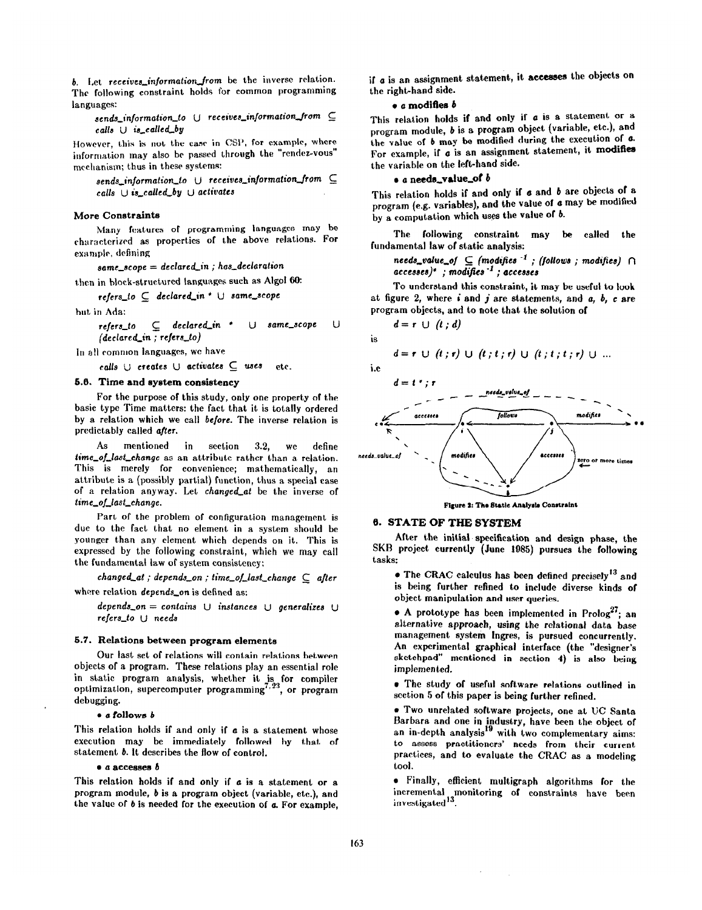b. Let receives\_information\_from be the inverse relation. The following constraint holds for common programming languages:

sends\_information\_to  $\cup$  receives\_information\_from  $\subseteq$ calls  $\cup$  is called by

However, this is not the case in CSP, for example, where information may also be passed through the "rendez-vous" mechanism; thus in these systems:

 $sends\_information_to$  U receives\_information\_from  $\subseteq$ calls  $\cup$  is\_called\_by  $\cup$  activates

#### More Conatrainte

Many features of programming languages may be characterized as properties of the above relations. For example, defining

 $same\_scope = declared_in ; has\_declaration$ 

then in block-structured languages such as Algol 60:

 $refers_to \subseteq declared_in * \cup same\_scope$ 

but in Ada:

 $refers_to \subseteq declared_in \rightarrow \cup same\_scope \cup$  $(declated_in ; refers_to)$ 

In all common languages, we have

calls  $\cup$  creates  $\cup$  activates  $\subseteq$  uses etc.

# 6.0. Time and eyetem consistency

For the purpose of this study, only one property of the basic type Time matters: the fact that it is totally ordered by a relation which we call before. The inverse relation is predictably called after.

As mentioned in section 3.2, we define time\_of\_last\_change as an attribute rather than a relation. This is merely for convenience; mathematically, an attribute is a (possibly partial) function, thus a special case of a relation anyway. Let changed\_at be the inverse of time\_of\_last\_change.

Part of the problem of configuration management is due to the fact that no element in a system should be younger than any element which depends on it. This is expressed by the following constraint, which we may call the fundamental law of system consistency:

 $changed\_at$ ; depends\_on; time\_of\_last\_change  $\subseteq$  after

where relation depends on is defined as:

depends\_on = contains  $\cup$  instances  $\cup$  generalizes  $\cup$ refers-to U needs

#### 5.7. Relations between program elements

Our last set of relations will contain relations between objects of a program. These relations play an essential role in static program analysis, whether it is for compiler optimization, supercomputer programming<sup>1,23</sup>, or program debugging.

#### $\bullet$  a follows  $b$

This relation holds if and only if  $a$  is a statement whose execution may be immediately followed by that of statement b. It describes the flow of control.

### $\bullet$  a accesses  $b$

This relation holds if and only if a is a statement or a program module, b is a program object (variable, etc.), and the value of  $b$  is needed for the execution of  $a$ . For example, if  $a$  is an assignment statement, it accesses the objects on the right-hand side.

# $\bullet$  a modifies  $b$

This relation holds if and only if a is a statement or a program module, b is a program object (variable, etc.), and the value of b may be modified during the execution of a. For example, if  $a$  is an assignment statement, it modifies the variable on the left-hand side.

### . a needs-value-of b

This relation holds if and only if  $\sigma$  and  $b$  are objects of a program (e.g. variables), and the value of a may be modified by a computation which uses the value of  $b$ .

The following constraint may be called the fundamental law of static analysis:

# needs\_value\_of  $\subseteq$  (modifies  $^{-1}$  ; (follows ; modifies)  $\cap$  $accesses)$ \*; modifies  $-1$ ; accesses

To understand this constraint, it may be useful to look at figure 2, where  $i$  and  $j$  are statements, and  $a, b, c$  are program objects, and to note that the solution of

$$
d=r \cup (t \; ; \; d)
$$

$$
d = r \cup (t; r) \cup (t; t; r) \cup (t; t; t; r) \cup ...
$$



is



Figure 2: The Static Analysis Constraint

# 6. STATE OF THE SYSTEM

After the initial' specification and design phase, the SKB project currently (June 1985) pursues the following tasks:

- The CRAC calculus has been defined precisely<sup>13</sup> and is being further refined to include diverse kinds of object manipulation and user queries.
- $\bullet$  A prototype has been implemented in Prolog<sup>27</sup>; an alternative approach, using the relational data base management system Ingres, is pursued concurrently. An experimental graphical interface (the "designer's sketchpad" mentioned in section 4) is also being implemented.

a The study of useful software relations outlined in section 5 of this paper is being further refined.

<sup>l</sup>Two unrelated software projects, one at UC Santa Barbara and one in industry, have been the object of an in-depth analysis<sup>19</sup> with two complementary aims: to assess practitioners' needs from their current. Practices, and to evaluate the CRAC as a modeling toot.

a Finally, efficient multigraph algorithms for the incrementa) monitoring of constraints have been investigated<sup>13</sup>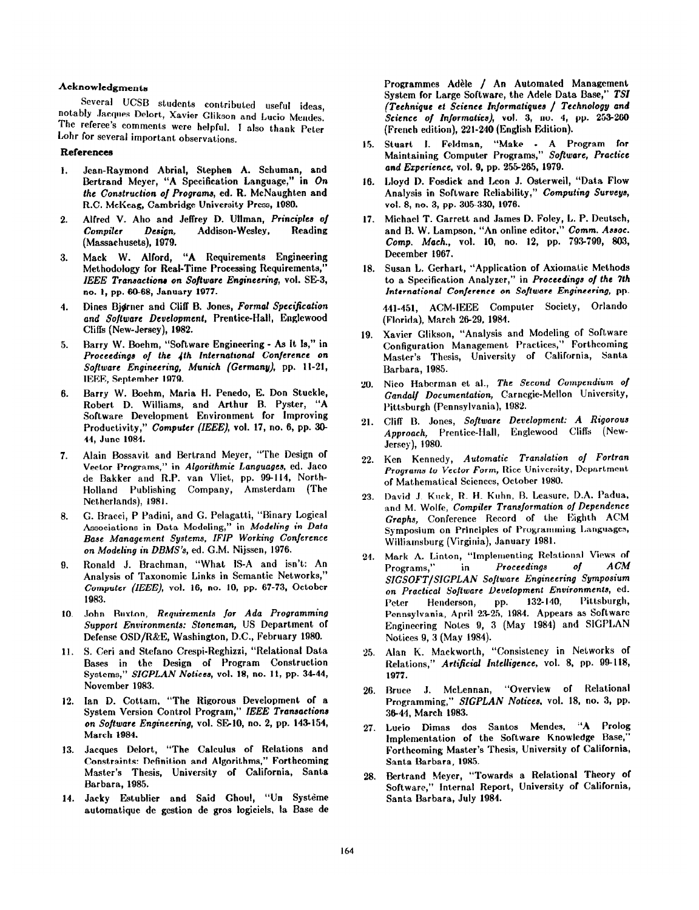### Acknowledgments

Several UCSB students contributed useful ideas notably Jacques Delort, Xavier Glikson and Lucia Mendes: The referee's comments were helpful. I also thank Peter Lohr for several important observations.

### References

- 1. Jean-Raymond Abrial, Stephen A. Schuman, and Bertrand Meyer, "A Specification Language," in On the Construction of Programs, ed. R. McNaughten and R.C. McKeag, Cambridge University Press, 1980.
- $2^{\circ}$ Alfred V. Aho and Jeffrey D. Ullman, Principles o/ Compiler Design, Addison-Wesley, Reading (Massachusets), 1979.
- 3. Mack W. Alford, "A Requirements Engineering Methodology for Real-Time Processing Requirements," IEEE Transactions on Software Engineering, vol. SE-3, no. 1, pp. 60-68, January 1977.
- 4. Dines Bjdrner and Cliff B. Jones, Formal Specification and Software Development, Prentice-Hall, Englewood Cliffs (New-Jersey), 1982.
- 5. Barry W. Boehm, "Software Engineering - As It Is," in Proceedings of the 4th International Conference on Software Engineering, Munich (Germany), pp. 11-21, IEEE, September 1979.
- 6. Barry W. Boehm, Maria H. Penedo, E. Don Stuckle, Robert D. Williams, and Arthur B. Pyster, "A Software Development Environment for Improving Productivity," Computer (IEEE), vol. 17, no. 6, pp. 30-44, June 1984.
- 7. Alain Bossavit and Bertrand Meyer, "The Design of Vector Programs," in Algorithmic Languages, ed. Jaco de Bakker and R.P. van Vliet, pp. 94114, North-Holland Publishing Company, Amsterdam (The Netherlands), 1981.
- 8. G. Bracci, P Padini, and G. Pelagatti, "Binary Logical Associations in Data Modeling," in Modeling in Data Base Management Systems. IFIP Working Conference on Modeling in DBMS's, ed. G.M. Nijssen, 1976.
- 9. Ronald J. Brachman, "What IS-A and isn't: An Analysis of Taxonomic Links in Semantic Networks," Computer (IEEE), vol. 16, no. 10, pp. 67-73, October 1983.
- 10. John Buxton, Requirements for Ada Programming Support Environments: Stoneman, US Department of Defense OSD/R&E, Washington, D.C., February 1980.
- 11. S. Ceri and Stefano Crespi-Reghizzi, "Relational Data Bases in the Design of Program Construction Systems," SIGPLAN Notices, vol. 18, no. 11, pp. 34-44, November 1983.
- 12. Ian D. Cottam, "The Rigorous Development of a System Version Control Program," IEEE Transactions on Software Engineering, vol. SE-10, no. 2, pp. 143-154, March 1984.
- 13. Jacques Delort, "The Calculus of Relations and Constraints: Definition and Algorithms," Forthcoming Master's Thesis, University of California, Santa Barbara, 1985.
- 14. Jacky Estublier and Said Ghoul, "Un Système automatique de gestion de gros logiciels. la Base de

Programmes Adèle / An Automated Management System for Large Software, the Adele Data Base," TSI (Technique et Science Informatiques / Technology and Science of Informatics), vol. 3, no. 4, pp. 253-260 (French edition), 221-240 (English FAition).

- 15. Stuart 1. Feldman, "Make A Program for Maintaining Computer Programs," Software, Practice and Experience, vol. 9, pp. 255-265, 1979.
- 16. Lloyd D. Fosdick and Leon J. Osterweil, "Data Flow Analysis in Software Reliability," Computing Surveys, vol. 8, no. 3, pp. 305-330, 1976.
- 17. Michael T. Garrett and James D. Foley, L. P. Deutsch, and B. W. Lampson, "An online editor," Comm. Assoc. Comp. Mach., vol. 10, no. 12, pp. 793799, 803, December 1967.
- 18. Susan L. Gerhart, "Application of Axiomatic Methods to a Specification Analyzer," in Proceedings of the 7th International Conference on Software Engineering, pp. 441-451, ACM-IEEE Computer Society, Orlando (Florida), March 2629, 1984.
- 19. Xavier Glikson, "Analysis and Modeling of Software Configuration Management Practices," Forthcoming Master's Thesis, University of California, Santa Barbara, 1985.
- 20. Nice Habcrman et al., The Second Compendium of Gandalf Documentation, Carnegie-Mellon University, Pittsburgh (Pennsylvania), 1982.
- 21. ClifF 13. Jones, Software Development: A Rigorous Approach, Prentice-Hall, Englewood Cliffs (New-Jersey), 1980.
- 22. Ken Kennedy, *Automatic Translation of Fortra* Programs to Vector Form, Rice University, Department of Mathematical Sciences, October 1980.
- 23. David J. Kuck, R. H. Kuhn, B. Leasure, D.A. Padua, and M. Wolfe, Compiler Transformation of Dependence Graphs, Conference Record of the Eighth ACM Symposium on Principles of Programming Languages, Williamsburg (Virginia), January 1981.
- 24. Mark A. Linton, "Implementing Relational Views of Programs," in Proceedings of ACM SIGSOFT/SIGPLAN Software Engineering Symposium on Practical Software Development Environments, ed.<br>Peter Henderson, pp. 132-140, Pittsburgh, Peter Henderson, Pennsylvania, April 23-25, 1984. Appears as Software Engineering Notes 9, 3 (May 1984) and SIGPLAN Notices 9, 3 (May 1984).
- 25. Alan K. Mackworth, "Consistency in Networks of Relations," Artificial Intelligence, vol. 8, pp. 99-118, 1977.
- 26. Bruce J. McLennan, "Overview of Relational Programming," SIGPLAN Notices, vol. 18, no. 3, pp. 3&44, March 1983.
- 27. Lucia Dimas dos Santos Mendes. "A Prolog Implementation of the Software Knowledge Base, Forthcoming Master's Thesis, University of California, Santa Barbara, 1985.
- 28. Bertrand Meyer, "Towards a Relational Theory of Software," fnternal Report, University of California, Santa Barbara, July 1984.